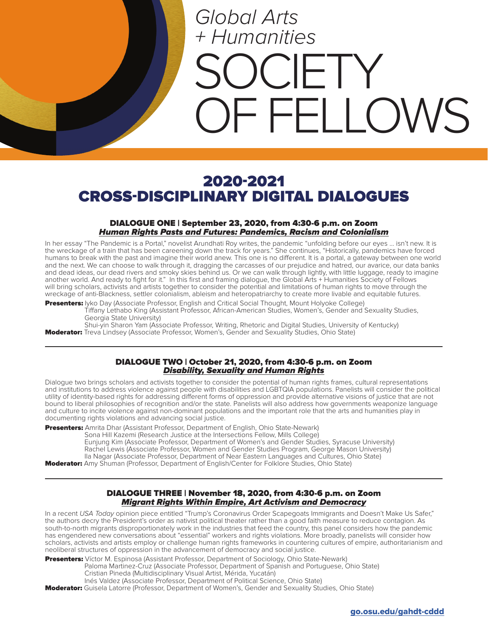# *Global Arts + Humanities*  $I$   $\vdash$   $I$   $\curlyvee$ **FELLOWS**

## 2020-2021 CROSS-DISCIPLINARY DIGITAL DIALOGUES

#### DIALOGUE ONE | September 23, 2020, from 4:30-6 p.m. on Zoom Human Rights Pasts and Futures: Pandemics, Racism and Colonialism

In her essay "The Pandemic is a Portal," novelist Arundhati Roy writes, the pandemic "unfolding before our eyes ... isn't new. It is the wreckage of a train that has been careening down the track for years." She continues, "Historically, pandemics have forced humans to break with the past and imagine their world anew. This one is no different. It is a portal, a gateway between one world and the next. We can choose to walk through it, dragging the carcasses of our prejudice and hatred, our avarice, our data banks and dead ideas, our dead rivers and smoky skies behind us. Or we can walk through lightly, with little luggage, ready to imagine another world. And ready to fight for it." In this first and framing dialogue, the Global Arts + Humanities Society of Fellows will bring scholars, activists and artists together to consider the potential and limitations of human rights to move through the wreckage of anti-Blackness, settler colonialism, ableism and heteropatriarchy to create more livable and equitable futures.

Presenters: Iyko Day (Associate Professor, English and Critical Social Thought, Mount Holyoke College) Tiffany Lethabo King (Assistant Professor, African-American Studies, Women's, Gender and Sexuality Studies, Georgia State University)

Shui-yin Sharon Yam (Associate Professor, Writing, Rhetoric and Digital Studies, University of Kentucky) **Moderator:** Treva Lindsey (Associate Professor, Women's, Gender and Sexuality Studies, Ohio State)

#### DIALOGUE TWO | October 21, 2020, from 4:30-6 p.m. on Zoom Disability, Sexuality and Human Rights

Dialogue two brings scholars and activists together to consider the potential of human rights frames, cultural representations and institutions to address violence against people with disabilities and LGBTQIA populations. Panelists will consider the political utility of identity-based rights for addressing different forms of oppression and provide alternative visions of justice that are not bound to liberal philosophies of recognition and/or the state. Panelists will also address how governments weaponize language and culture to incite violence against non-dominant populations and the important role that the arts and humanities play in documenting rights violations and advancing social justice.

Presenters: Amrita Dhar (Assistant Professor, Department of English, Ohio State-Newark)

Sona Hill Kazemi (Research Justice at the Intersections Fellow, Mills College) Eunjung Kim (Associate Professor, Department of Women's and Gender Studies, Syracuse University) Rachel Lewis (Associate Professor, Women and Gender Studies Program, George Mason University)

Ila Nagar (Associate Professor, Department of Near Eastern Languages and Cultures, Ohio State)

**Moderator:** Amy Shuman (Professor, Department of English/Center for Folklore Studies, Ohio State)

### DIALOGUE THREE | November 18, 2020, from 4:30-6 p.m. on Zoom Migrant Rights Within Empire, Art Activism and Democracy

In a recent *USA Today* opinion piece entitled "Trump's Coronavirus Order Scapegoats Immigrants and Doesn't Make Us Safer," the authors decry the President's order as nativist political theater rather than a good faith measure to reduce contagion. As south-to-north migrants disproportionately work in the industries that feed the country, this panel considers how the pandemic has engendered new conversations about "essential" workers and rights violations. More broadly, panelists will consider how scholars, activists and artists employ or challenge human rights frameworks in countering cultures of empire, authoritarianism and neoliberal structures of oppression in the advancement of democracy and social justice.

Presenters: Víctor M. Espinosa (Assistant Professor, Department of Sociology, Ohio State-Newark) Paloma Martinez-Cruz (Associate Professor, Department of Spanish and Portuguese, Ohio State) Cristian Pineda (Multidisciplinary Visual Artist, Mérida, Yucatán) Inés Valdez (Associate Professor, Department of Political Science, Ohio State)

Moderator: Guisela Latorre (Professor, Department of Women's, Gender and Sexuality Studies, Ohio State)